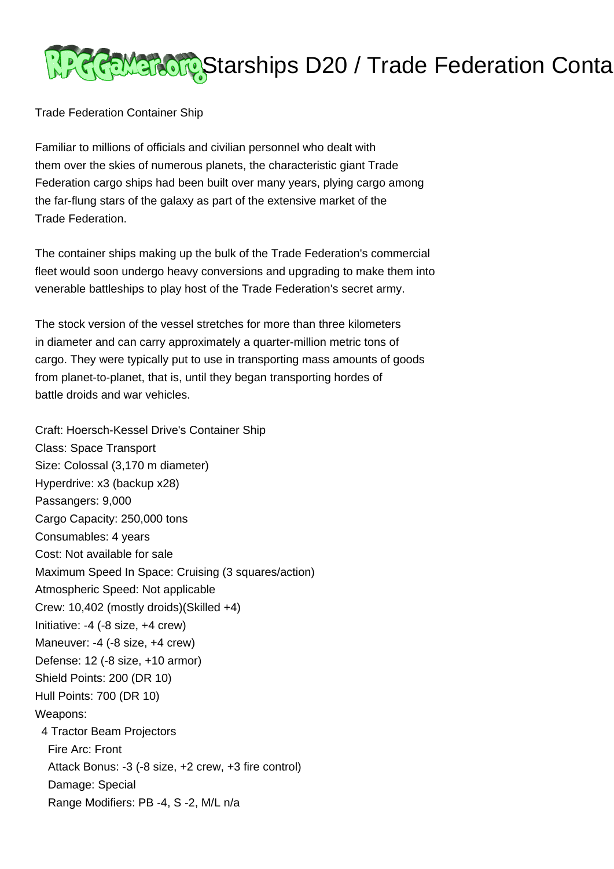

Trade Federation Container Ship

Familiar to millions of officials and civilian personnel who dealt with them over the skies of numerous planets, the characteristic giant Trade Federation cargo ships had been built over many years, plying cargo among the far-flung stars of the galaxy as part of the extensive market of the Trade Federation.

The container ships making up the bulk of the Trade Federation's commercial fleet would soon undergo heavy conversions and upgrading to make them into venerable battleships to play host of the Trade Federation's secret army.

The stock version of the vessel stretches for more than three kilometers in diameter and can carry approximately a quarter-million metric tons of cargo. They were typically put to use in transporting mass amounts of goods from planet-to-planet, that is, until they began transporting hordes of battle droids and war vehicles.

Craft: Hoersch-Kessel Drive's Container Ship Class: Space Transport Size: Colossal (3,170 m diameter) Hyperdrive: x3 (backup x28) Passangers: 9,000 Cargo Capacity: 250,000 tons Consumables: 4 years Cost: Not available for sale Maximum Speed In Space: Cruising (3 squares/action) Atmospheric Speed: Not applicable Crew: 10,402 (mostly droids)(Skilled +4) Initiative: -4 (-8 size, +4 crew) Maneuver: -4 (-8 size, +4 crew) Defense: 12 (-8 size, +10 armor) Shield Points: 200 (DR 10) Hull Points: 700 (DR 10) Weapons: 4 Tractor Beam Projectors Fire Arc: Front Attack Bonus: -3 (-8 size, +2 crew, +3 fire control) Damage: Special Range Modifiers: PB -4, S -2, M/L n/a